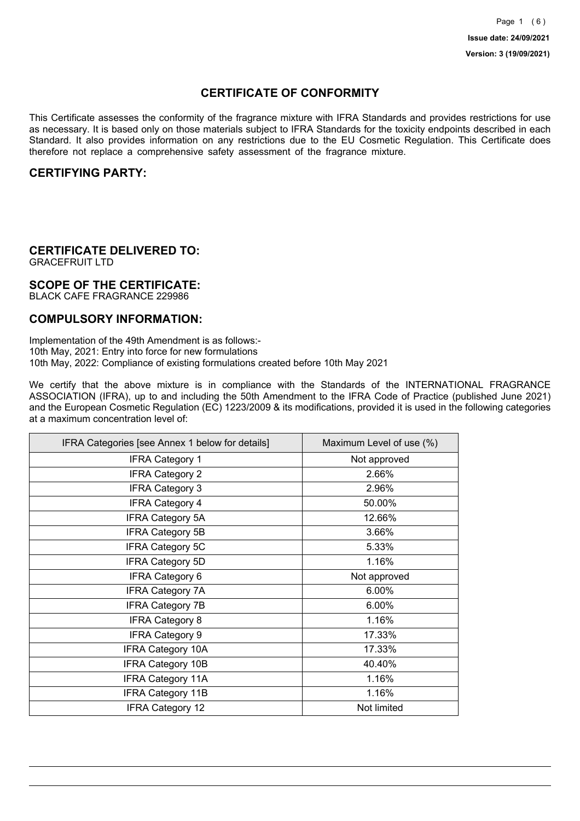## **CERTIFICATE OF CONFORMITY**

This Certificate assesses the conformity of the fragrance mixture with IFRA Standards and provides restrictions for use as necessary. It is based only on those materials subject to IFRA Standards for the toxicity endpoints described in each Standard. It also provides information on any restrictions due to the EU Cosmetic Regulation. This Certificate does therefore not replace a comprehensive safety assessment of the fragrance mixture.

## **CERTIFYING PARTY:**

## **CERTIFICATE DELIVERED TO:**

GRACEFRUIT LTD

### **SCOPE OF THE CERTIFICATE:**

BLACK CAFE FRAGRANCE 229986

### **COMPULSORY INFORMATION:**

Implementation of the 49th Amendment is as follows:- 10th May, 2021: Entry into force for new formulations 10th May, 2022: Compliance of existing formulations created before 10th May 2021

We certify that the above mixture is in compliance with the Standards of the INTERNATIONAL FRAGRANCE ASSOCIATION (IFRA), up to and including the 50th Amendment to the IFRA Code of Practice (published June 2021) and the European Cosmetic Regulation (EC) 1223/2009 & its modifications, provided it is used in the following categories at a maximum concentration level of:

| IFRA Categories [see Annex 1 below for details] | Maximum Level of use (%) |
|-------------------------------------------------|--------------------------|
| <b>IFRA Category 1</b>                          | Not approved             |
| <b>IFRA Category 2</b>                          | 2.66%                    |
| <b>IFRA Category 3</b>                          | 2.96%                    |
| <b>IFRA Category 4</b>                          | 50.00%                   |
| <b>IFRA Category 5A</b>                         | 12.66%                   |
| <b>IFRA Category 5B</b>                         | 3.66%                    |
| <b>IFRA Category 5C</b>                         | 5.33%                    |
| <b>IFRA Category 5D</b>                         | 1.16%                    |
| IFRA Category 6                                 | Not approved             |
| <b>IFRA Category 7A</b>                         | 6.00%                    |
| <b>IFRA Category 7B</b>                         | 6.00%                    |
| <b>IFRA Category 8</b>                          | 1.16%                    |
| <b>IFRA Category 9</b>                          | 17.33%                   |
| <b>IFRA Category 10A</b>                        | 17.33%                   |
| <b>IFRA Category 10B</b>                        | 40.40%                   |
| <b>IFRA Category 11A</b>                        | 1.16%                    |
| <b>IFRA Category 11B</b>                        | 1.16%                    |
| <b>IFRA Category 12</b>                         | Not limited              |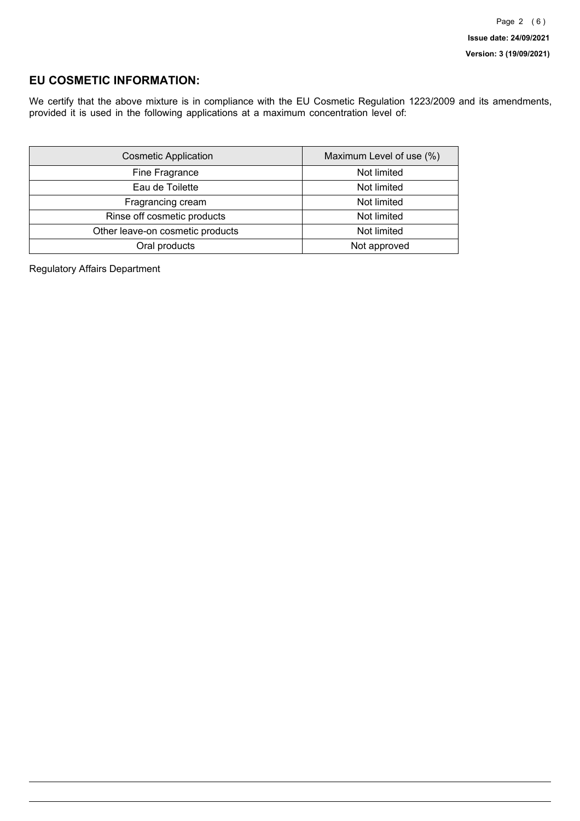## **EU COSMETIC INFORMATION:**

We certify that the above mixture is in compliance with the EU Cosmetic Regulation 1223/2009 and its amendments, provided it is used in the following applications at a maximum concentration level of:

| <b>Cosmetic Application</b>      | Maximum Level of use (%) |
|----------------------------------|--------------------------|
| Fine Fragrance                   | Not limited              |
| Eau de Toilette                  | Not limited              |
| Fragrancing cream                | Not limited              |
| Rinse off cosmetic products      | Not limited              |
| Other leave-on cosmetic products | Not limited              |
| Oral products                    | Not approved             |

Regulatory Affairs Department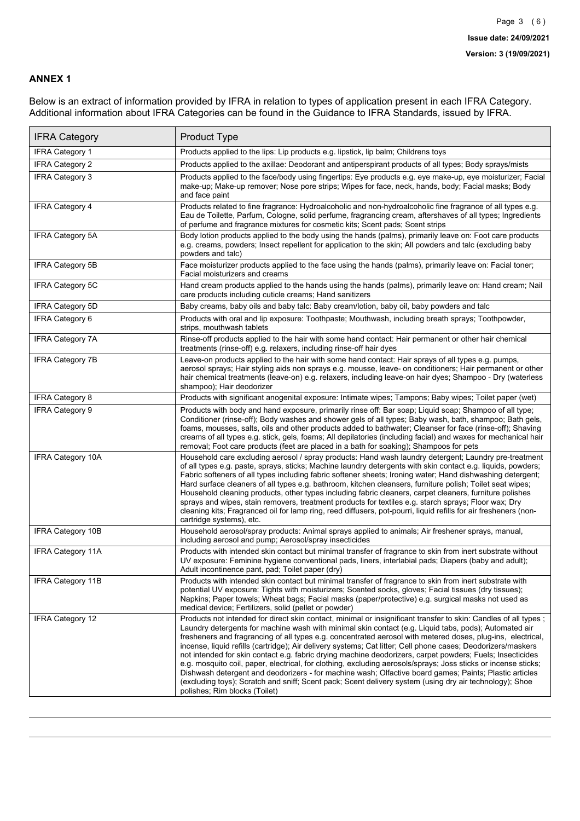### **ANNEX 1**

Below is an extract of information provided by IFRA in relation to types of application present in each IFRA Category. Additional information about IFRA Categories can be found in the Guidance to IFRA Standards, issued by IFRA.

| <b>IFRA Category</b>     | Product Type                                                                                                                                                                                                                                                                                                                                                                                                                                                                                                                                                                                                                                                                                                                                                                                                                                                                                                                                 |
|--------------------------|----------------------------------------------------------------------------------------------------------------------------------------------------------------------------------------------------------------------------------------------------------------------------------------------------------------------------------------------------------------------------------------------------------------------------------------------------------------------------------------------------------------------------------------------------------------------------------------------------------------------------------------------------------------------------------------------------------------------------------------------------------------------------------------------------------------------------------------------------------------------------------------------------------------------------------------------|
| <b>IFRA Category 1</b>   | Products applied to the lips: Lip products e.g. lipstick, lip balm; Childrens toys                                                                                                                                                                                                                                                                                                                                                                                                                                                                                                                                                                                                                                                                                                                                                                                                                                                           |
| <b>IFRA Category 2</b>   | Products applied to the axillae: Deodorant and antiperspirant products of all types; Body sprays/mists                                                                                                                                                                                                                                                                                                                                                                                                                                                                                                                                                                                                                                                                                                                                                                                                                                       |
| <b>IFRA Category 3</b>   | Products applied to the face/body using fingertips: Eye products e.g. eye make-up, eye moisturizer; Facial<br>make-up; Make-up remover; Nose pore strips; Wipes for face, neck, hands, body; Facial masks; Body<br>and face paint                                                                                                                                                                                                                                                                                                                                                                                                                                                                                                                                                                                                                                                                                                            |
| <b>IFRA Category 4</b>   | Products related to fine fragrance: Hydroalcoholic and non-hydroalcoholic fine fragrance of all types e.g.<br>Eau de Toilette, Parfum, Cologne, solid perfume, fragrancing cream, aftershaves of all types; Ingredients<br>of perfume and fragrance mixtures for cosmetic kits; Scent pads; Scent strips                                                                                                                                                                                                                                                                                                                                                                                                                                                                                                                                                                                                                                     |
| <b>IFRA Category 5A</b>  | Body lotion products applied to the body using the hands (palms), primarily leave on: Foot care products<br>e.g. creams, powders; Insect repellent for application to the skin; All powders and talc (excluding baby<br>powders and talc)                                                                                                                                                                                                                                                                                                                                                                                                                                                                                                                                                                                                                                                                                                    |
| <b>IFRA Category 5B</b>  | Face moisturizer products applied to the face using the hands (palms), primarily leave on: Facial toner;<br>Facial moisturizers and creams                                                                                                                                                                                                                                                                                                                                                                                                                                                                                                                                                                                                                                                                                                                                                                                                   |
| <b>IFRA Category 5C</b>  | Hand cream products applied to the hands using the hands (palms), primarily leave on: Hand cream; Nail<br>care products including cuticle creams; Hand sanitizers                                                                                                                                                                                                                                                                                                                                                                                                                                                                                                                                                                                                                                                                                                                                                                            |
| <b>IFRA Category 5D</b>  | Baby creams, baby oils and baby talc: Baby cream/lotion, baby oil, baby powders and talc                                                                                                                                                                                                                                                                                                                                                                                                                                                                                                                                                                                                                                                                                                                                                                                                                                                     |
| IFRA Category 6          | Products with oral and lip exposure: Toothpaste; Mouthwash, including breath sprays; Toothpowder,<br>strips, mouthwash tablets                                                                                                                                                                                                                                                                                                                                                                                                                                                                                                                                                                                                                                                                                                                                                                                                               |
| <b>IFRA Category 7A</b>  | Rinse-off products applied to the hair with some hand contact: Hair permanent or other hair chemical<br>treatments (rinse-off) e.g. relaxers, including rinse-off hair dyes                                                                                                                                                                                                                                                                                                                                                                                                                                                                                                                                                                                                                                                                                                                                                                  |
| <b>IFRA Category 7B</b>  | Leave-on products applied to the hair with some hand contact: Hair sprays of all types e.g. pumps,<br>aerosol sprays; Hair styling aids non sprays e.g. mousse, leave- on conditioners; Hair permanent or other<br>hair chemical treatments (leave-on) e.g. relaxers, including leave-on hair dyes; Shampoo - Dry (waterless<br>shampoo); Hair deodorizer                                                                                                                                                                                                                                                                                                                                                                                                                                                                                                                                                                                    |
| <b>IFRA Category 8</b>   | Products with significant anogenital exposure: Intimate wipes; Tampons; Baby wipes; Toilet paper (wet)                                                                                                                                                                                                                                                                                                                                                                                                                                                                                                                                                                                                                                                                                                                                                                                                                                       |
| <b>IFRA Category 9</b>   | Products with body and hand exposure, primarily rinse off: Bar soap; Liquid soap; Shampoo of all type;<br>Conditioner (rinse-off); Body washes and shower gels of all types; Baby wash, bath, shampoo; Bath gels,<br>foams, mousses, salts, oils and other products added to bathwater; Cleanser for face (rinse-off); Shaving<br>creams of all types e.g. stick, gels, foams; All depilatories (including facial) and waxes for mechanical hair<br>removal; Foot care products (feet are placed in a bath for soaking); Shampoos for pets                                                                                                                                                                                                                                                                                                                                                                                                   |
| <b>IFRA Category 10A</b> | Household care excluding aerosol / spray products: Hand wash laundry detergent; Laundry pre-treatment<br>of all types e.g. paste, sprays, sticks; Machine laundry detergents with skin contact e.g. liquids, powders;<br>Fabric softeners of all types including fabric softener sheets; Ironing water; Hand dishwashing detergent;<br>Hard surface cleaners of all types e.g. bathroom, kitchen cleansers, furniture polish; Toilet seat wipes;<br>Household cleaning products, other types including fabric cleaners, carpet cleaners, furniture polishes<br>sprays and wipes, stain removers, treatment products for textiles e.g. starch sprays; Floor wax; Dry<br>cleaning kits; Fragranced oil for lamp ring, reed diffusers, pot-pourri, liquid refills for air fresheners (non-<br>cartridge systems), etc.                                                                                                                          |
| <b>IFRA Category 10B</b> | Household aerosol/spray products: Animal sprays applied to animals; Air freshener sprays, manual,<br>including aerosol and pump; Aerosol/spray insecticides                                                                                                                                                                                                                                                                                                                                                                                                                                                                                                                                                                                                                                                                                                                                                                                  |
| <b>IFRA Category 11A</b> | Products with intended skin contact but minimal transfer of fragrance to skin from inert substrate without<br>UV exposure: Feminine hygiene conventional pads, liners, interlabial pads; Diapers (baby and adult);<br>Adult incontinence pant, pad; Toilet paper (dry)                                                                                                                                                                                                                                                                                                                                                                                                                                                                                                                                                                                                                                                                       |
| <b>IFRA Category 11B</b> | Products with intended skin contact but minimal transfer of fragrance to skin from inert substrate with<br>potential UV exposure: Tights with moisturizers; Scented socks, gloves; Facial tissues (dry tissues);<br>Napkins: Paper towels: Wheat bags: Facial masks (paper/protective) e.g. surgical masks not used as<br>medical device; Fertilizers, solid (pellet or powder)                                                                                                                                                                                                                                                                                                                                                                                                                                                                                                                                                              |
| <b>IFRA Category 12</b>  | Products not intended for direct skin contact, minimal or insignificant transfer to skin: Candles of all types;<br>Laundry detergents for machine wash with minimal skin contact (e.g. Liguid tabs, pods); Automated air<br>fresheners and fragrancing of all types e.g. concentrated aerosol with metered doses, plug-ins, electrical,<br>incense, liquid refills (cartridge); Air delivery systems; Cat litter; Cell phone cases; Deodorizers/maskers<br>not intended for skin contact e.g. fabric drying machine deodorizers, carpet powders; Fuels; Insecticides<br>e.g. mosquito coil, paper, electrical, for clothing, excluding aerosols/sprays; Joss sticks or incense sticks;<br>Dishwash detergent and deodorizers - for machine wash; Olfactive board games; Paints; Plastic articles<br>(excluding toys); Scratch and sniff; Scent pack; Scent delivery system (using dry air technology); Shoe<br>polishes; Rim blocks (Toilet) |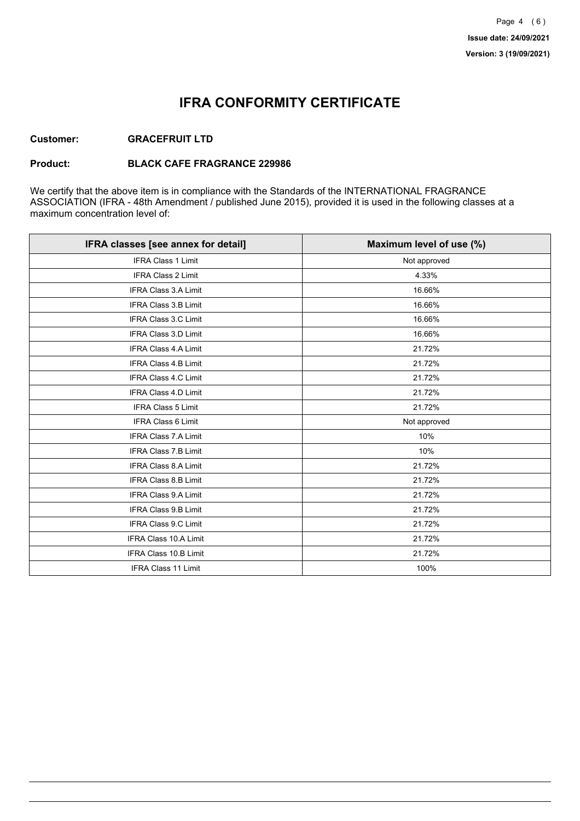## **IFRA CONFORMITY CERTIFICATE**

#### **Customer: GRACEFRUIT LTD**

#### **Product: BLACK CAFE FRAGRANCE 229986**

We certify that the above item is in compliance with the Standards of the INTERNATIONAL FRAGRANCE ASSOCIATION (IFRA - 48th Amendment / published June 2015), provided it is used in the following classes at a maximum concentration level of:

| IFRA classes [see annex for detail] | Maximum level of use (%) |
|-------------------------------------|--------------------------|
| <b>IFRA Class 1 Limit</b>           | Not approved             |
| <b>IFRA Class 2 Limit</b>           | 4.33%                    |
| <b>IFRA Class 3.A Limit</b>         | 16.66%                   |
| IFRA Class 3.B Limit                | 16.66%                   |
| IFRA Class 3.C Limit                | 16.66%                   |
| IFRA Class 3.D Limit                | 16.66%                   |
| <b>IFRA Class 4.A Limit</b>         | 21.72%                   |
| <b>IFRA Class 4.B Limit</b>         | 21.72%                   |
| IFRA Class 4.C Limit                | 21.72%                   |
| <b>IFRA Class 4.D Limit</b>         | 21.72%                   |
| <b>IFRA Class 5 Limit</b>           | 21.72%                   |
| <b>IFRA Class 6 Limit</b>           | Not approved             |
| <b>IFRA Class 7.A Limit</b>         | 10%                      |
| IFRA Class 7.B Limit                | 10%                      |
| IFRA Class 8.A Limit                | 21.72%                   |
| IFRA Class 8.B Limit                | 21.72%                   |
| <b>IFRA Class 9.A Limit</b>         | 21.72%                   |
| <b>IFRA Class 9.B Limit</b>         | 21.72%                   |
| IFRA Class 9.C Limit                | 21.72%                   |
| IFRA Class 10.A Limit               | 21.72%                   |
| IFRA Class 10.B Limit               | 21.72%                   |
| <b>IFRA Class 11 Limit</b>          | 100%                     |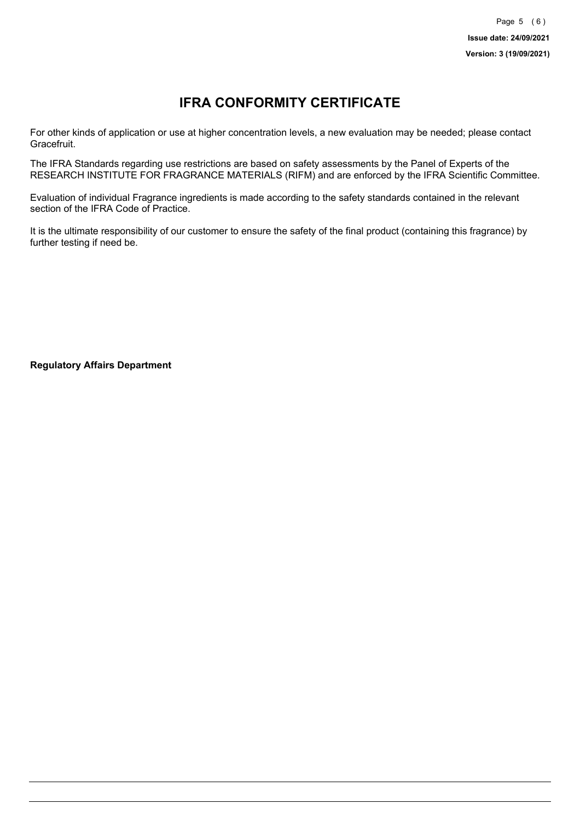# **IFRA CONFORMITY CERTIFICATE**

For other kinds of application or use at higher concentration levels, a new evaluation may be needed; please contact Gracefruit.

The IFRA Standards regarding use restrictions are based on safety assessments by the Panel of Experts of the RESEARCH INSTITUTE FOR FRAGRANCE MATERIALS (RIFM) and are enforced by the IFRA Scientific Committee.

Evaluation of individual Fragrance ingredients is made according to the safety standards contained in the relevant section of the IFRA Code of Practice.

It is the ultimate responsibility of our customer to ensure the safety of the final product (containing this fragrance) by further testing if need be.

**Regulatory Affairs Department**